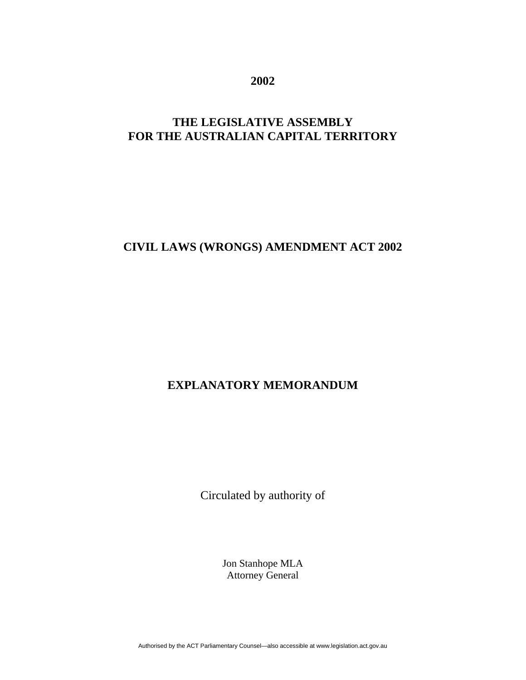**2002** 

# **THE LEGISLATIVE ASSEMBLY FOR THE AUSTRALIAN CAPITAL TERRITORY**

## **CIVIL LAWS (WRONGS) AMENDMENT ACT 2002**

# **EXPLANATORY MEMORANDUM**

Circulated by authority of

Jon Stanhope MLA Attorney General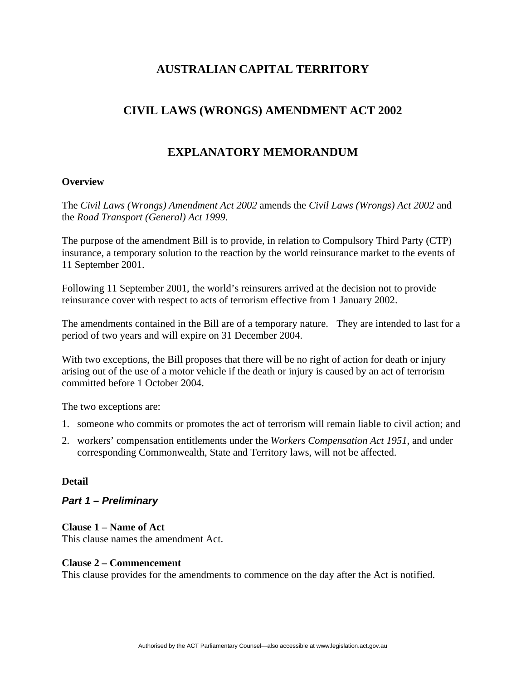## **AUSTRALIAN CAPITAL TERRITORY**

# **CIVIL LAWS (WRONGS) AMENDMENT ACT 2002**

## **EXPLANATORY MEMORANDUM**

### **Overview**

The *Civil Laws (Wrongs) Amendment Act 2002* amends the *Civil Laws (Wrongs) Act 2002* and the *Road Transport (General) Act 1999*.

The purpose of the amendment Bill is to provide, in relation to Compulsory Third Party (CTP) insurance, a temporary solution to the reaction by the world reinsurance market to the events of 11 September 2001.

Following 11 September 2001, the world's reinsurers arrived at the decision not to provide reinsurance cover with respect to acts of terrorism effective from 1 January 2002.

The amendments contained in the Bill are of a temporary nature. They are intended to last for a period of two years and will expire on 31 December 2004.

With two exceptions, the Bill proposes that there will be no right of action for death or injury arising out of the use of a motor vehicle if the death or injury is caused by an act of terrorism committed before 1 October 2004.

The two exceptions are:

- 1. someone who commits or promotes the act of terrorism will remain liable to civil action; and
- 2. workers' compensation entitlements under the *Workers Compensation Act 1951*, and under corresponding Commonwealth, State and Territory laws, will not be affected.

#### **Detail**

### *Part 1 – Preliminary*

#### **Clause 1 – Name of Act**

This clause names the amendment Act.

#### **Clause 2 – Commencement**

This clause provides for the amendments to commence on the day after the Act is notified.